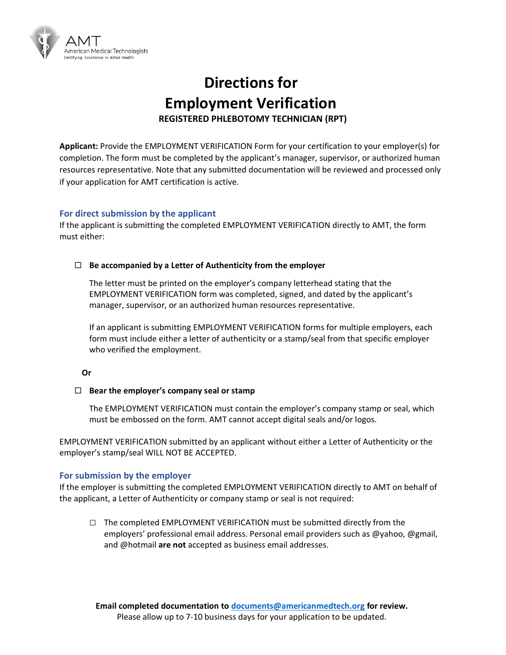

# **Directions for Employment Verification REGISTERED PHLEBOTOMY TECHNICIAN (RPT)**

**Applicant:** Provide the EMPLOYMENT VERIFICATION Form for your certification to your employer(s) for completion. The form must be completed by the applicant's manager, supervisor, or authorized human resources representative. Note that any submitted documentation will be reviewed and processed only if your application for AMT certification is active.

### **For direct submission by the applicant**

If the applicant is submitting the completed EMPLOYMENT VERIFICATION directly to AMT, the form must either:

#### **Be accompanied by a Letter of Authenticity from the employer**

The letter must be printed on the employer's company letterhead stating that the EMPLOYMENT VERIFICATION form was completed, signed, and dated by the applicant's manager, supervisor, or an authorized human resources representative.

If an applicant is submitting EMPLOYMENT VERIFICATION forms for multiple employers, each form must include either a letter of authenticity or a stamp/seal from that specific employer who verified the employment.

#### **Or**

#### **Bear the employer's company seal or stamp**

The EMPLOYMENT VERIFICATION must contain the employer's company stamp or seal, which must be embossed on the form. AMT cannot accept digital seals and/or logos.

EMPLOYMENT VERIFICATION submitted by an applicant without either a Letter of Authenticity or the employer's stamp/seal WILL NOT BE ACCEPTED.

#### **For submission by the employer**

If the employer is submitting the completed EMPLOYMENT VERIFICATION directly to AMT on behalf of the applicant, a Letter of Authenticity or company stamp or seal is not required:

**□** The completed EMPLOYMENT VERIFICATION must be submitted directly from the employers' professional email address. Personal email providers such as @yahoo, @gmail, and @hotmail **are not** accepted as business email addresses.